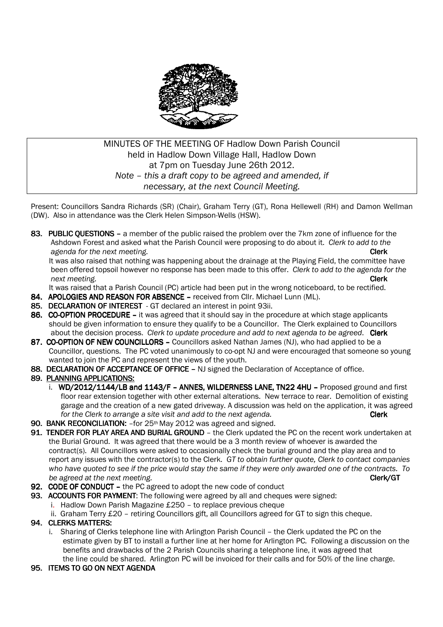

# MINUTES OF THE MEETING OF Hadlow Down Parish Council held in Hadlow Down Village Hall, Hadlow Down at 7pm on Tuesday June 26th 2012. *Note – this a draft copy to be agreed and amended, if necessary, at the next Council Meeting.*

Present: Councillors Sandra Richards (SR) (Chair), Graham Terry (GT), Rona Hellewell (RH) and Damon Wellman (DW). Also in attendance was the Clerk Helen Simpson-Wells (HSW).

83. PUBLIC OUESTIONS – a member of the public raised the problem over the 7km zone of influence for the Ashdown Forest and asked what the Parish Council were proposing to do about it. *Clerk to add to the agenda for the next meeting.* **Clerk** *Clerk* **<b>Clerk Clerk Clerk** 

It was also raised that nothing was happening about the drainage at the Playing Field, the committee have been offered topsoil however no response has been made to this offer. *Clerk to add to the agenda for the next meeting.* **Clerk** 

It was raised that a Parish Council (PC) article had been put in the wrong noticeboard, to be rectified.

- 84. APOLOGIES AND REASON FOR ABSENCE received from Cllr. Michael Lunn (ML).
- 85. DECLARATION OF INTEREST GT declared an interest in point 93ii.
- 86. CO-OPTION PROCEDURE it was agreed that it should say in the procedure at which stage applicants should be given information to ensure they qualify to be a Councillor. The Clerk explained to Councillors about the decision process. *Clerk to update procedure and add to next agenda to be agreed*. Clerk
- 87. CO-OPTION OF NEW COUNCILLORS Councillors asked Nathan James (NJ), who had applied to be a Councillor, questions. The PC voted unanimously to co-opt NJ and were encouraged that someone so young wanted to join the PC and represent the views of the youth.
- 88. DECLARATION OF ACCEPTANCE OF OFFICE NJ signed the Declaration of Acceptance of office.

### 89. PLANNING APPLICATIONS:

- i. WD/2012/1144/LB and 1143/F ANNES, WILDERNESS LANE, TN22 4HU Proposed ground and first floor rear extension together with other external alterations. New terrace to rear. Demolition of existing garage and the creation of a new gated driveway. A discussion was held on the application, it was agreed *for the Clerk to arrange a site visit and add to the next agenda.* **Clerk Clerk**
- 90. BANK RECONCILIATION: for 25<sup>th</sup> May 2012 was agreed and signed.
- 91. TENDER FOR PLAY AREA AND BURIAL GROUND the Clerk updated the PC on the recent work undertaken at the Burial Ground. It was agreed that there would be a 3 month review of whoever is awarded the contract(s). All Councillors were asked to occasionally check the burial ground and the play area and to report any issues with the contractor(s) to the Clerk. *GT to obtain further quote, Clerk to contact companies who have quoted to see if the price would stay the same if they were only awarded one of the contracts. To be agreed at the next meeting.*  $\blacksquare$
- 92. CODE OF CONDUCT the PC agreed to adopt the new code of conduct
- 93. ACCOUNTS FOR PAYMENT: The following were agreed by all and cheques were signed:
	- i. Hadlow Down Parish Magazine £250 to replace previous cheque
		- ii. Graham Terry £20 retiring Councillors gift, all Councillors agreed for GT to sign this cheque.

## 94. CLERKS MATTERS: 94.

- i. Sharing of Clerks telephone line with Arlington Parish Council the Clerk updated the PC on the estimate given by BT to install a further line at her home for Arlington PC. Following a discussion on the benefits and drawbacks of the 2 Parish Councils sharing a telephone line, it was agreed that the line could be shared. Arlington PC will be invoiced for their calls and for 50% of the line charge.
- 95. ITEMS TO GO ON NEXT AGENDA